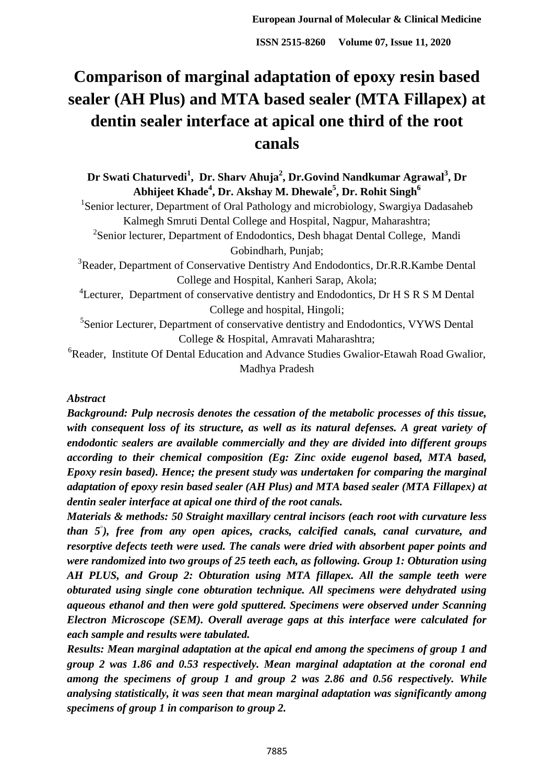# **Comparison of marginal adaptation of epoxy resin based sealer (AH Plus) and MTA based sealer (MTA Fillapex) at dentin sealer interface at apical one third of the root canals**

**Dr Swati Chaturvedi<sup>1</sup> , Dr. Sharv Ahuja<sup>2</sup> , Dr.Govind Nandkumar Agrawal<sup>3</sup> , Dr Abhijeet Khade<sup>4</sup> , Dr. Akshay M. Dhewale<sup>5</sup> , Dr. Rohit Singh<sup>6</sup>** <sup>1</sup>Senior lecturer, Department of Oral Pathology and microbiology, Swargiya Dadasaheb Kalmegh Smruti Dental College and Hospital, Nagpur, Maharashtra; <sup>2</sup>Senior lecturer, Department of Endodontics, Desh bhagat Dental College, Mandi Gobindharh, Punjab; <sup>3</sup>Reader, Department of Conservative Dentistry And Endodontics, Dr.R.R.Kambe Dental College and Hospital, Kanheri Sarap, Akola; <sup>4</sup>Lecturer, Department of conservative dentistry and Endodontics, Dr H S R S M Dental College and hospital, Hingoli; <sup>5</sup>Senior Lecturer, Department of conservative dentistry and Endodontics, VYWS Dental College & Hospital, Amravati Maharashtra; <sup>6</sup>Reader, Institute Of Dental Education and Advance Studies Gwalior-Etawah Road Gwalior, Madhya Pradesh

## *Abstract*

*Background: Pulp necrosis denotes the cessation of the metabolic processes of this tissue, with consequent loss of its structure, as well as its natural defenses. A great variety of endodontic sealers are available commercially and they are divided into different groups according to their chemical composition (Eg: Zinc oxide eugenol based, MTA based, Epoxy resin based). Hence; the present study was undertaken for comparing the marginal adaptation of epoxy resin based sealer (AH Plus) and MTA based sealer (MTA Fillapex) at dentin sealer interface at apical one third of the root canals.*

*Materials & methods: 50 Straight maxillary central incisors (each root with curvature less than 5◦ ), free from any open apices, cracks, calcified canals, canal curvature, and resorptive defects teeth were used. The canals were dried with absorbent paper points and were randomized into two groups of 25 teeth each, as following. Group 1: Obturation using AH PLUS, and Group 2: Obturation using MTA fillapex. All the sample teeth were obturated using single cone obturation technique. All specimens were dehydrated using aqueous ethanol and then were gold sputtered. Specimens were observed under Scanning Electron Microscope (SEM). Overall average gaps at this interface were calculated for each sample and results were tabulated.* 

*Results: Mean marginal adaptation at the apical end among the specimens of group 1 and group 2 was 1.86 and 0.53 respectively. Mean marginal adaptation at the coronal end among the specimens of group 1 and group 2 was 2.86 and 0.56 respectively. While analysing statistically, it was seen that mean marginal adaptation was significantly among specimens of group 1 in comparison to group 2.*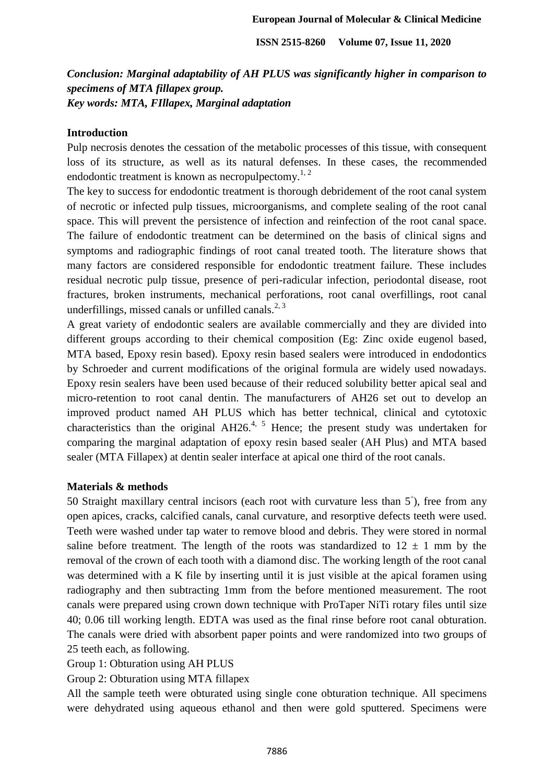*Conclusion: Marginal adaptability of AH PLUS was significantly higher in comparison to specimens of MTA fillapex group. Key words: MTA, FIllapex, Marginal adaptation* 

#### **Introduction**

Pulp necrosis denotes the cessation of the metabolic processes of this tissue, with consequent loss of its structure, as well as its natural defenses. In these cases, the recommended endodontic treatment is known as necropulpectomy.<sup>1, 2</sup>

The key to success for endodontic treatment is thorough debridement of the root canal system of necrotic or infected pulp tissues, microorganisms, and complete sealing of the root canal space. This will prevent the persistence of infection and reinfection of the root canal space. The failure of endodontic treatment can be determined on the basis of clinical signs and symptoms and radiographic findings of root canal treated tooth. The literature shows that many factors are considered responsible for endodontic treatment failure. These includes residual necrotic pulp tissue, presence of peri-radicular infection, periodontal disease, root fractures, broken instruments, mechanical perforations, root canal overfillings, root canal underfillings, missed canals or unfilled canals. $2, 3$ 

A great variety of endodontic sealers are available commercially and they are divided into different groups according to their chemical composition (Eg: Zinc oxide eugenol based, MTA based, Epoxy resin based). Epoxy resin based sealers were introduced in endodontics by Schroeder and current modifications of the original formula are widely used nowadays. Epoxy resin sealers have been used because of their reduced solubility better apical seal and micro-retention to root canal dentin. The manufacturers of AH26 set out to develop an improved product named AH PLUS which has better technical, clinical and cytotoxic characteristics than the original  $AH26<sup>4, 5</sup>$  Hence; the present study was undertaken for comparing the marginal adaptation of epoxy resin based sealer (AH Plus) and MTA based sealer (MTA Fillapex) at dentin sealer interface at apical one third of the root canals.

#### **Materials & methods**

50 Straight maxillary central incisors (each root with curvature less than 5<sup>°</sup>), free from any open apices, cracks, calcified canals, canal curvature, and resorptive defects teeth were used. Teeth were washed under tap water to remove blood and debris. They were stored in normal saline before treatment. The length of the roots was standardized to  $12 \pm 1$  mm by the removal of the crown of each tooth with a diamond disc. The working length of the root canal was determined with a K file by inserting until it is just visible at the apical foramen using radiography and then subtracting 1mm from the before mentioned measurement. The root canals were prepared using crown down technique with ProTaper NiTi rotary files until size 40; 0.06 till working length. EDTA was used as the final rinse before root canal obturation. The canals were dried with absorbent paper points and were randomized into two groups of 25 teeth each, as following.

Group 1: Obturation using AH PLUS

Group 2: Obturation using MTA fillapex

All the sample teeth were obturated using single cone obturation technique. All specimens were dehydrated using aqueous ethanol and then were gold sputtered. Specimens were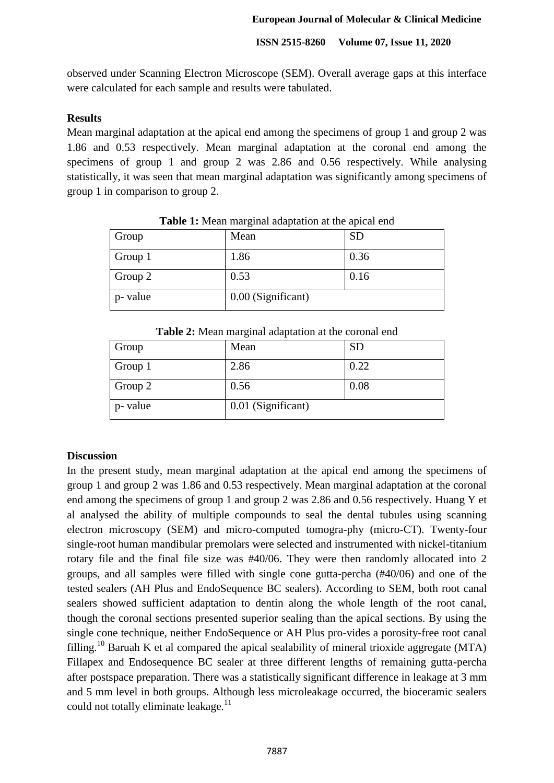observed under Scanning Electron Microscope (SEM). Overall average gaps at this interface were calculated for each sample and results were tabulated.

## **Results**

Mean marginal adaptation at the apical end among the specimens of group 1 and group 2 was 1.86 and 0.53 respectively. Mean marginal adaptation at the coronal end among the specimens of group 1 and group 2 was 2.86 and 0.56 respectively. While analysing statistically, it was seen that mean marginal adaptation was significantly among specimens of group 1 in comparison to group 2.

| Group    | Mean               | <b>SD</b> |
|----------|--------------------|-----------|
| Group 1  | 1.86               | 0.36      |
| Group 2  | 0.53               | 0.16      |
| p- value | 0.00 (Significant) |           |

**Table 1:** Mean marginal adaptation at the apical end

| Group    | Mean               | <b>SD</b> |
|----------|--------------------|-----------|
| Group 1  | 2.86               | 0.22      |
| Group 2  | 0.56               | 0.08      |
| p- value | 0.01 (Significant) |           |

**Table 2:** Mean marginal adaptation at the coronal end

#### **Discussion**

In the present study, mean marginal adaptation at the apical end among the specimens of group 1 and group 2 was 1.86 and 0.53 respectively. Mean marginal adaptation at the coronal end among the specimens of group 1 and group 2 was 2.86 and 0.56 respectively. Huang Y et al analysed the ability of multiple compounds to seal the dental tubules using scanning electron microscopy (SEM) and micro-computed tomogra-phy (micro-CT). Twenty-four single-root human mandibular premolars were selected and instrumented with nickel-titanium rotary file and the final file size was #40/06. They were then randomly allocated into 2 groups, and all samples were filled with single cone gutta-percha (#40/06) and one of the tested sealers (AH Plus and EndoSequence BC sealers). According to SEM, both root canal sealers showed sufficient adaptation to dentin along the whole length of the root canal, though the coronal sections presented superior sealing than the apical sections. By using the single cone technique, neither EndoSequence or AH Plus pro-vides a porosity-free root canal filling.<sup>10</sup> Baruah K et al compared the apical sealability of mineral trioxide aggregate (MTA) Fillapex and Endosequence BC sealer at three different lengths of remaining gutta-percha after postspace preparation. There was a statistically significant difference in leakage at 3 mm and 5 mm level in both groups. Although less microleakage occurred, the bioceramic sealers could not totally eliminate leakage. $^{11}$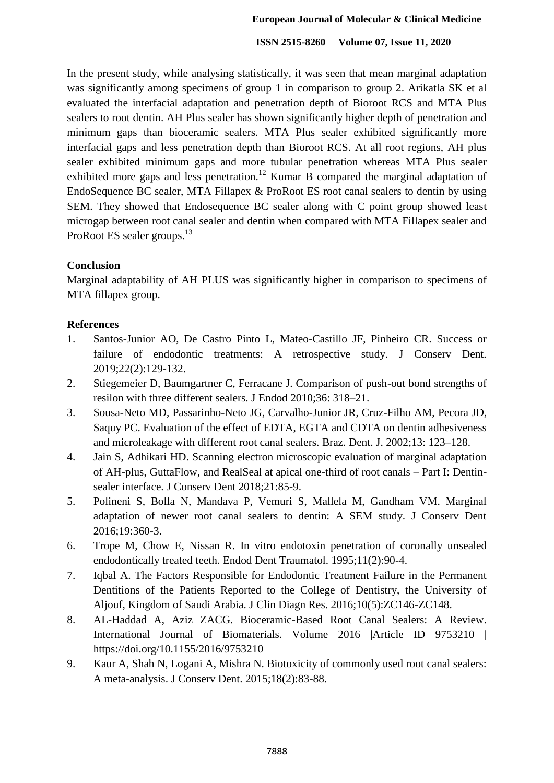In the present study, while analysing statistically, it was seen that mean marginal adaptation was significantly among specimens of group 1 in comparison to group 2. Arikatla SK et al evaluated the interfacial adaptation and penetration depth of Bioroot RCS and MTA Plus sealers to root dentin. AH Plus sealer has shown significantly higher depth of penetration and minimum gaps than bioceramic sealers. MTA Plus sealer exhibited significantly more interfacial gaps and less penetration depth than Bioroot RCS. At all root regions, AH plus sealer exhibited minimum gaps and more tubular penetration whereas MTA Plus sealer exhibited more gaps and less penetration.<sup>12</sup> Kumar B compared the marginal adaptation of EndoSequence BC sealer, MTA Fillapex & ProRoot ES root canal sealers to dentin by using SEM. They showed that Endosequence BC sealer along with C point group showed least microgap between root canal sealer and dentin when compared with MTA Fillapex sealer and ProRoot ES sealer groups.<sup>13</sup>

## **Conclusion**

Marginal adaptability of AH PLUS was significantly higher in comparison to specimens of MTA fillapex group.

## **References**

- 1. Santos-Junior AO, De Castro Pinto L, Mateo-Castillo JF, Pinheiro CR. Success or failure of endodontic treatments: A retrospective study. J Conserv Dent. 2019;22(2):129-132.
- 2. Stiegemeier D, Baumgartner C, Ferracane J. Comparison of push-out bond strengths of resilon with three different sealers. J Endod 2010;36: 318–21.
- 3. Sousa-Neto MD, Passarinho-Neto JG, Carvalho-Junior JR, Cruz-Filho AM, Pecora JD, Saquy PC. Evaluation of the effect of EDTA, EGTA and CDTA on dentin adhesiveness and microleakage with different root canal sealers. Braz. Dent. J. 2002;13: 123–128.
- 4. Jain S, Adhikari HD. Scanning electron microscopic evaluation of marginal adaptation of AH-plus, GuttaFlow, and RealSeal at apical one-third of root canals – Part I: Dentinsealer interface. J Conserv Dent 2018;21:85-9.
- 5. Polineni S, Bolla N, Mandava P, Vemuri S, Mallela M, Gandham VM. Marginal adaptation of newer root canal sealers to dentin: A SEM study. J Conserv Dent 2016;19:360-3.
- 6. Trope M, Chow E, Nissan R. In vitro endotoxin penetration of coronally unsealed endodontically treated teeth. Endod Dent Traumatol. 1995;11(2):90-4.
- 7. Iqbal A. The Factors Responsible for Endodontic Treatment Failure in the Permanent Dentitions of the Patients Reported to the College of Dentistry, the University of Aljouf, Kingdom of Saudi Arabia. J Clin Diagn Res. 2016;10(5):ZC146-ZC148.
- 8. AL-Haddad A, Aziz ZACG. Bioceramic-Based Root Canal Sealers: A Review. International Journal of Biomaterials. Volume 2016 |Article ID 9753210 | https://doi.org/10.1155/2016/9753210
- 9. Kaur A, Shah N, Logani A, Mishra N. Biotoxicity of commonly used root canal sealers: A meta-analysis. J Conserv Dent. 2015;18(2):83-88.